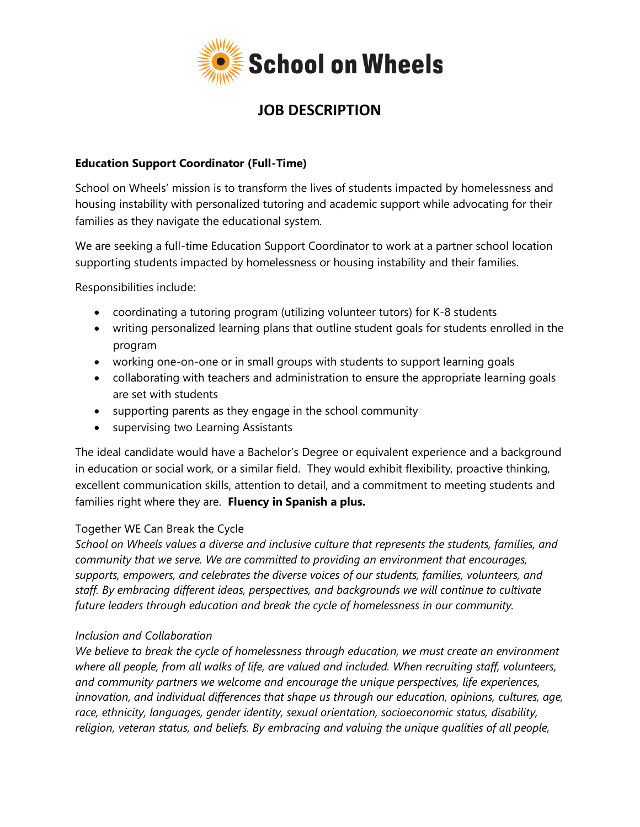

## **JOB DESCRIPTION**

#### **Education Support Coordinator (Full-Time)**

School on Wheels' mission is to transform the lives of students impacted by homelessness and housing instability with personalized tutoring and academic support while advocating for their families as they navigate the educational system.

We are seeking a full-time Education Support Coordinator to work at a partner school location supporting students impacted by homelessness or housing instability and their families.

Responsibilities include:

- coordinating a tutoring program (utilizing volunteer tutors) for K-8 students
- writing personalized learning plans that outline student goals for students enrolled in the program
- working one-on-one or in small groups with students to support learning goals
- collaborating with teachers and administration to ensure the appropriate learning goals are set with students
- supporting parents as they engage in the school community
- supervising two Learning Assistants

The ideal candidate would have a Bachelor's Degree or equivalent experience and a background in education or social work, or a similar field. They would exhibit flexibility, proactive thinking, excellent communication skills, attention to detail, and a commitment to meeting students and families right where they are. **Fluency in Spanish a plus.**

### Together WE Can Break the Cycle

*School on Wheels values a diverse and inclusive culture that represents the students, families, and community that we serve. We are committed to providing an environment that encourages, supports, empowers, and celebrates the diverse voices of our students, families, volunteers, and staff. By embracing different ideas, perspectives, and backgrounds we will continue to cultivate future leaders through education and break the cycle of homelessness in our community.*

### *Inclusion and Collaboration*

*We believe to break the cycle of homelessness through education, we must create an environment where all people, from all walks of life, are valued and included. When recruiting staff, volunteers, and community partners we welcome and encourage the unique perspectives, life experiences, innovation, and individual differences that shape us through our education, opinions, cultures, age, race, ethnicity, languages, gender identity, sexual orientation, socioeconomic status, disability, religion, veteran status, and beliefs. By embracing and valuing the unique qualities of all people,*